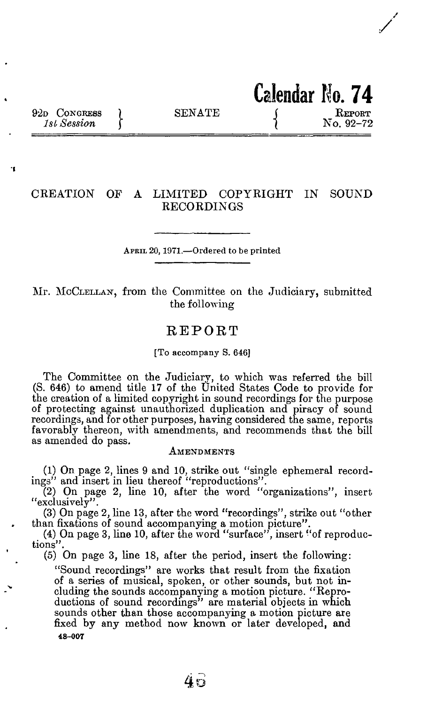**Calendar No. 7 4** 

'n

# **CREATION OF A LIMITED COPYRIGHT IN SOUND RECORDINGS**

**APRIL 20,1971.—Ordered to be printed** 

**Mr. MCCLELLAN, from the Committee on the Judiciary, submitted the following** 

# **REPOR T**

#### **[To accompany S. 646]**

**The Committee on the Judiciary, to which was referred the bill (S. 646) to amend title 17 of the United States Code to provide for the creation of a limited copyright in sound recordings for the purpose of protecting against unauthorized duplication and piracy of sound recordings, and for other purposes, having considered the same, reports favorably thereon, with amendments, and recommends that the bill as amended do pass.** 

### **AMENDMENTS**

**(1) On page 2, lines 9 and 10, strike out "single ephemeral recordings" and insert in lieu thereof "reproductions".** 

**(2) On page 2, line 10, after the word "organizations", insert "exclusively".** 

**(3) On page 2, line 13, after the word "recordings", strike out "other than fixations of sound accompanying a motion picture".** 

**(4) On page 3, line 10, after the word "surface", insert "of reproductions".** 

**(5) On page 3, line 18, after the period, insert the following:** 

**"Sound recordings" are works that result from the fixation of a series of musical, spoken, or other sounds, but not including the sounds accompanying a motion picture. "Reproductions of sound recordings" are material objects in which sounds other than those accompanying a motion picture are fixed by any method now known or later developed, and 48-00 7**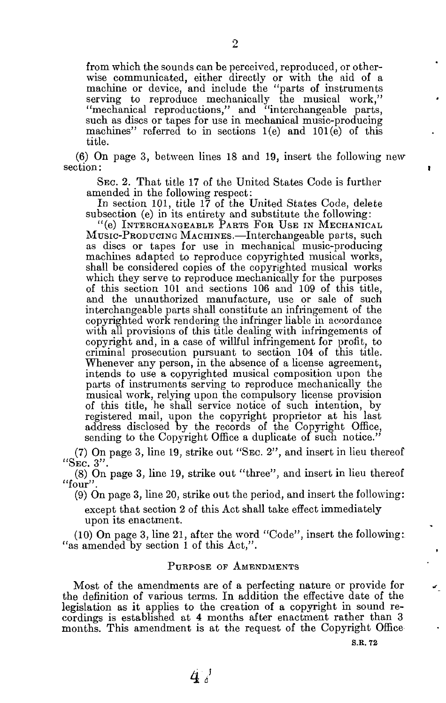**from which the sounds can be perceived, reproduced, or otherwise communicated, either directly or with the aid of a machine or device, and include the "parts of instruments serving to reproduce mechanically the musical work," "mechanical reproductions," and "interchangeable parts, such as discs or tapes for use in mechanical music-producing machines" referred to in sections 1(e) and 101(e) of this title.** 

**(6) On page 3 , between lines 1 8 and 19, insert the following new section:** 

**SEC. 2. That title 17 of the United States Code is further amended in the following respect:** 

**In section 101 , title 1 7 of the United States Code, delete subsection (e) in its entirety and substitute the following:** 

**"(e) INTERCHANGEABLE PARTS FOR USE IN MECHANICAL MUSIC-PRODUCING MACHINES.—Interchangeable parts, such as discs or tapes for use in mechanical music-producing machines adapted to reproduce copyrighted musical works, shall be considered copies of the copyrighted musical works which they serve to reproduce mechanically for the purposes of this section 101 and sections 106 and 109 of this title, and the unauthorized manufacture, use or sale of such interchangeable parts shall constitute an infringement of the copyrighted work rendering the infringer liable in accordance with all provisions of this title dealing with infringements of copyright and, in a case of wilful infringement for profit, to criminal prosecution pursuant to section 104 of this title. Whenever any person, in the absence of a license agreement, intends to use a copyrighted musical composition upon the parts of instruments serving to reproduce mechanically the musical work, relying upon the compulsory license provision of this title, he shall service notice of such intention, by registered mail, upon the copyright proprietor at his last address disclosed by the records of the Copyright Office, sending to the Copyright Office a duplicate of such notice."** 

**(7) On page 3 , line 19, strike out "SEC. 2", and insert in lieu thereof "SEC. 3".** 

**(8) On page 3 , line 19, strike out "three", and insert in lieu thereof "four".** 

**(9) On page 3 , line 20, strike out the period, and insert the following:** 

**except that section 2 of this Act shall take effect immediately upon its enactment.** 

**(10) On page 3 , line 21 , after the word "Code", insert the following: "as amended by section 1 of this Act,".** 

# **PURPOSE OF AMENDMENTS**

**Most of the amendments are of a perfecting nature or provide for the definition of various terms. In addition the effective date of the legislation as it applies to the creation of a copyright in sound recordings is established at 4 months after enactment rather than 3 months. This amendment is at the request of the Copyright Office** 

**S.R. 72**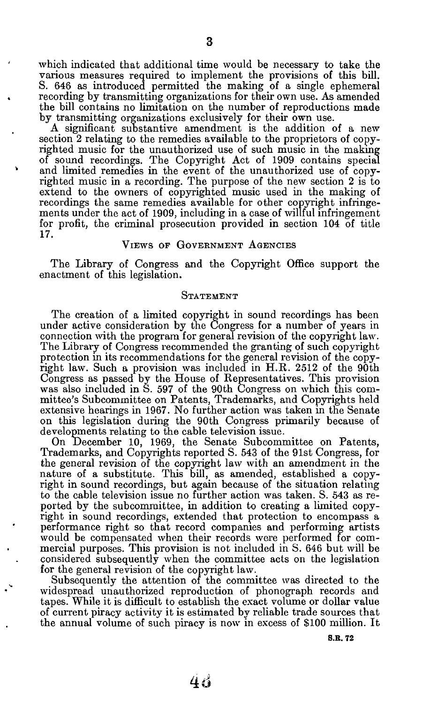which indicated that additional time would be necessary to take the various measures required to implement the provisions of this bill. S. 646 as introduced permitted the making of a single ephemeral recording by transmitting organizations for their own use. As amended the bill contains no limitation on the number of reproductions made by transmitting organizations exclusively for their own use.

A significant substantive amendment is the addition of a new section 2 relating to the remedies available to the proprietors of copyrighted music for the unauthorized use of such music in the making of sound recordings. The Copyright Act of 1909 contains special and limited remedies in the event of the unauthorized use of copyrighted music in a recording. The purpose of the new section 2 is to extend to the owners of copyrighted music used in the making of recordings the same remedies available for other copyright infringements under the act of 1909, including in a case of willful infringement for profit, the criminal prosecution provided in section 104 of title 17.

# **VIEWS OF GOVERNMENT AGENCIES**

The Library of Congress and the Copyright Office support the enactment of this legislation.

#### **STATEMENT**

The creation of a limited copyright in sound recordings has been under active consideration by the Congress for a number of years in connection with the program for general revision of the copyright law. The Library of Congress recommended the granting of such copyright protection in its recommendations for the general revision of the copyright law. Such a provision was included in H.R. 2512 of the 90th Congress as passed by the House of Representatives. This provision was also included in S. 597 of the 90th Congress on which this committee's Subcommittee on Patents, Trademarks, and Copyrights held extensive hearings in 1967. No further action was taken in the Senate on this legislation during the 90th Congress primarily because of developments relating to the cable television issue.

On December 10, 1969, the Senate Subcommittee on Patents, Trademarks, and Copyrights reported S. 543 of the 91st Congress, for the general revision of the copyright law with an amendment in the nature of a substitute. This bill, as amended, established a copyright in sound recordings, but again because of the situation relating to the cable television issue no further action was taken. S. 543 as reported by the subcommittee, in addition to creating a limited copyright in sound recordings, extended that protection to encompass a performance right so that record companies and performing artists would be compensated when their records were performed for commercial purposes. This provision is not included in S. 646 but will be considered subsequently when the committee acts on the legislation for the general revision of the copyright law.

Subsequently the attention of the committee was directed to the widespread unauthorized reproduction of phonograph records and tapes. While it is difficult to establish the exact volume or dollar value of current piracy activity it is estimated by reliable trade sources that the annual volume of such piracy is now in excess of \$100 million. It

**S.R. 7 2**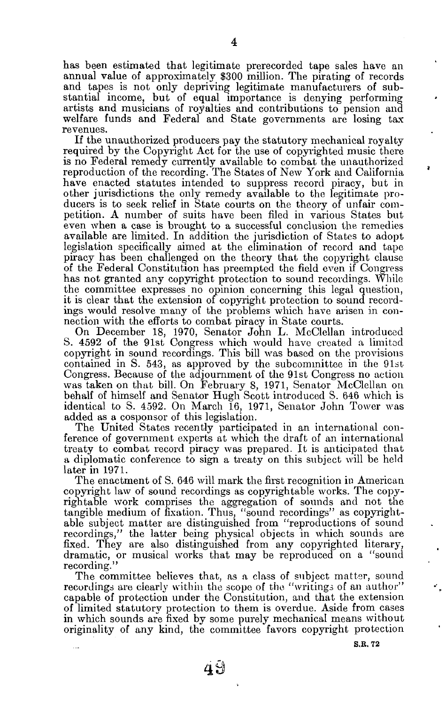has been estimated that legitimate prerecorded tape sales have an annual value of approximately **\$300** million. The pirating of records and tapes is not only depriving legitimate manufacturers of substantial income, but of equal importance is denying performing artists and musicians of royalties and contributions to pension and welfare funds and Federal and State governments are losing tax revenues.

If the unauthorized producers pay the statutory mechanical royalty required by the Copyright Act for the use of copyrighted music there is no Federal remedy currently available to combat the unauthorized reproduction of the recording. The States of New York and California have enacted statutes intended to suppress record piracy, but in other jurisdictions the only remedy available to the legitimate producers is to seek relief in State courts on the theory of unfair competition. A number of suits have been filed in various States but even when a case is brought to a successful conclusion the remedies available are limited. In addition the jurisdiction of States to adopt legislation specifically aimed at the elimination of record and tape piracy has been challenged on the theory that the copyright clause of the Federal Constitution has preempted the field even if Congress has not granted any copyright protection to sound recordings. While the committee expresses no opinion concerning this legal question, it is clear that the extension of copyright protection to sound recordings would resolve many of the problems which have arisen in connection with the efforts to combat piracy in State courts.

On December **18, 1970,** Senator John **L.** McClellan introduced S. **4592** of the 91st Congress which would have created a limited copyright in sound recordings. This bill was based on the provisions contained in S. **543,** as approved by the subcommittee in the 91st Congress. Because of the adjournment of the 91st Congress no action was taken on that bill. On February **8, 1971,** Senator McClellan on behalf of himself and Senator Hugh Scott introduced S. **646** which is identical to S. **4592.** On March **16, 1971,** Senator John Tower was added as a cosponsor of this legislation.

The United States recently participated in an international conference of government experts at which the draft of an international treaty to combat record piracy was prepared. It is anticipated that a diplomatic conference to sign a treaty on this subject will be held later in **1971.** 

The enactment of S. **646** will mark the first recognition in American copyright law of sound recordings as copyrightable works. The copyrightable work comprises the aggregation of sounds and not the tangible medium of fixation. Thus, "sound recordings" as copyrightable subject matter are distinguished from "reproductions of sound recordings," the latter being physical objects in which sounds are fixed. They are also distinguished from any copyrighted literary, dramatic, or musical works that may be reproduced on a "sound recording."

The committee believes that, as a class of subject matter, sound recordings are clearly within the scope of the "writings of an author" capable of protection under the Constitution, and that the extension of limited statutory protection to them is overdue. Aside from cases in which sounds are fixed by some purely mechanical means without originality of any kind, the committee favors copyright protection

**S.E. 7 2**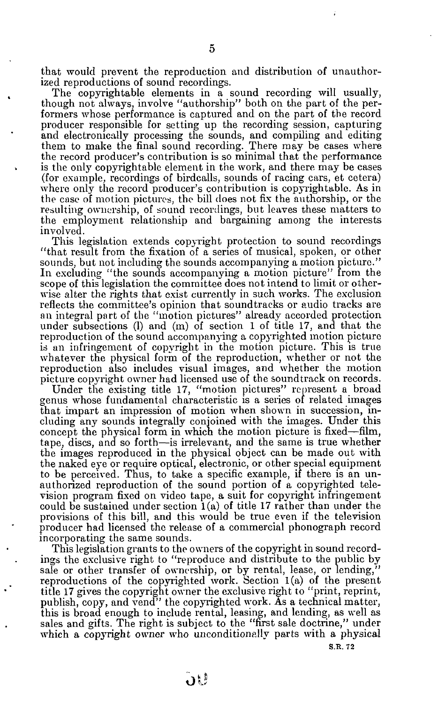that would prevent the reproduction and distribution of unauthorized reproductions of sound recordings.

The copyrightable elements in a sound recording will usually, though not always, involve "authorship" both on the part of the performers whose performance is captured and on the part of the record producer responsible for setting up the recording session, capturing and electronically processing the sounds, and compiling and editing them to make the final sound recording. There may be cases where the record producer's contribution is so minimal that the performance is the only copyrightable element in the work, and there may be cases (for example, recordings of birdcalls, sounds of racing cars, et cetera) where only the record producer's contribution is copyrightable. As in the case of motion pictures, the bill does not fix the authorship, or the resulting ownership, of sound recordings, but leaves these matters to the employment relationship and bargaining among the interests involved.

This legislation extends copyright protection to sound recordings "that result from the fixation of a series of musical, spoken, or other sounds, but not including the sounds accompanying a motion picture." In excluding "the sounds accompanying a motion picture" from the scope of this legislation the committee does not intend to limit or otherwise alter the rights that exist currently in such works. The exclusion reflects the committee's opinion that soundtracks or audio tracks are an integral part of the "motion pictures" already accorded protection under subsections **(1)** and (m) of section **1** of title **17,** and that the reproduction of the sound accompanying a copyrighted motion picture is an infringement of copyright in the motion picture. This is true whatever the physical form of the reproduction, whether or not the reproduction also includes visual images, and whether the motion picture copyright owner had licensed use of the soundtrack on records.

Under the existing title **17,** "motion pictures" represent a broad genus whose fundamental characteristic is a series of related images that impart an impression of motion when shown in succession, including any sounds integrally conjoined with the images. Under this concept the physical form in which the motion picture is fixed—film, tape, discs, and so forth—is irrelevant, and the same is true whether the images reproduced in the physical object can be made out with the naked eye or require optical, electronic, or other special equipment to be perceived. Thus, to take a specific example, if there is an unauthorized reproduction of the sound portion of a copyrighted television program fixed on video tape, a suit for copyright infringement could be sustained under section **1**(a) of title **17** rather than under the provisions of this bill, and this would be true even if the television producer had licensed the release of a commercial phonograph record incorporating the same sounds.

This legislation grants to the owners of the copyright in sound recordings the exclusive right to "reproduce and distribute to the public by sale or other transfer of ownership, or by rental, lease, or lending," reproductions of the copyrighted work. Section **1**(a) of the present title **17** gives the copyright owner the exclusive right to "print, reprint, publish, copy, and vend" the copyrighted work. As a technical matter, this is broad enough to include rental, leasing, and lending, as well as sales and gifts. The right is subject to the "first sale doctrine," under which a copyright owner who unconditionally parts with a physical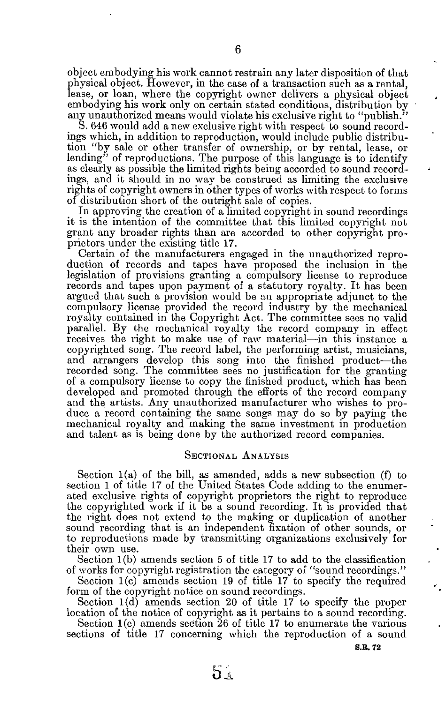object embodying his work cannot restrain any later disposition of that physical object. However, in the case of a transaction such as a rental, lease, or loan, where the copyright owner delivers a physical object embodying his work only on certain stated conditions, distribution by any unauthorized means would violate his exclusive right to "publish."

S. 646 would add a new exclusive right with respect to sound recordings which, in addition to reproduction, would include public distribution "by sale or other transfer of ownership, or by rental, lease, or lending" of reproductions. The purpose of this language is to identify as clearly as possible the limited rights being accorded to sound recordings, and it should in no way be construed as limiting the exclusive rights of copyright owners in other types of works with respect to forms of distribution short of the outright sale of copies.

In approving the creation of a limited copyright in sound recordings it is the intention of the committee that this limited copyright not grant any broader rights than are accorded to other copyright proprietors under the existing title 17.

Certain of the manufacturers engaged in the unauthorized reproduction of records and tapes have proposed the inclusion in the legislation of provisions granting a compulsory license to reproduce records and tapes upon payment of a statutory royalty. It has been argued that such a provision would be an appropriate adjunct to the compulsory license provided the record industry by the mechanical royalty contained in the Copyright Act. The committee sees no valid parallel. By the mechanical royalty the record company in effect receives the right to make use of raw material—in this instance a copyrighted song. The record label, the performing artist, musicians, and arrangers develop this song into the finished product—the recorded song. The committee sees no justification for the granting of a compulsory license to copy the finished product, which has been developed and promoted through the efforts of the record company and the artists. Any unauthorized manufacturer who wishes to produce a record containing the same songs may do so by paying the mechanical royalty and making the same investment in production and talent as is being done by the authorized record companies.

# **SECTIONAL ANALYSIS**

Section **1**(a) of the bill, as amended, adds a new subsection (f) to section 1 of title 17 of the United States Code adding to the enumerated exclusive rights of copyright proprietors the right to reproduce the copyrighted work if it be a sound recording. It is provided that the right does not extend to the making or duplication of another sound recording that is an independent fixation of other sounds, or to reproductions made by transmitting organizations exclusively for their own use.

Section **1**(b) amends section 5 of title **17** to add to the classification of works for copyright registration the category of "sound recordings. "

Section 1(c) amends section 19 of title 17 to specify the required form of the copyright notice on sound recordings.

Section 1(d) amends section 20 of title 17 to specify the proper location of the notice of copyright as it pertains to a sound recording.

Section  $1(e)$  amends section  $\overline{26}$  of title 17 to enumerate the various sections of title **17** concerning which the reproduction of a sound

**S.E. 72**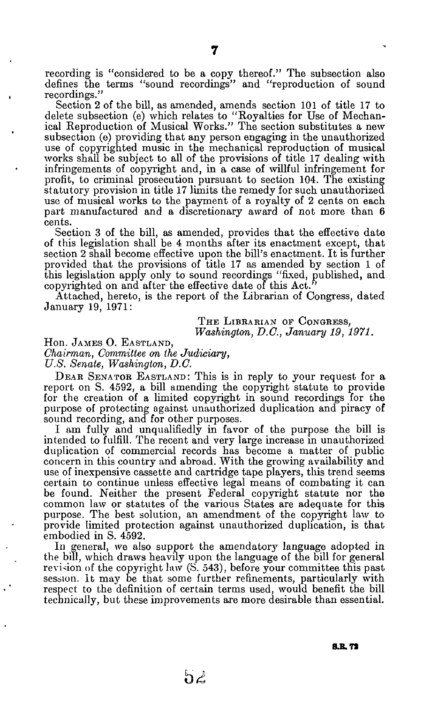**recording is "considered to be a copy thereof." The subsection also defines the terms "sound recordings" and "reproduction of sound recordings."** 

**Section 2 of the bill, as amended, amends section 101 of title 17 to delete subsection (e) which relates to "Royalties for Use of Mechanical Reproduction of Musical Works." The section substitutes a new subsection (e) providing that any person engaging in the unauthorized use of copyrighted music in the mechanical reproduction of musical works shall be subject to all of the provisions of title 17 dealing with infringements of copyright and, in a case of willful infringement for profit, to criminal prosecution pursuant to section 104. The existing statutory provision in title 17 limits the remedy for such unauthorized use of musical works to the payment of a royalty of 2 cents on each part manufactured and a discretionary award of not more than 6 cents.** 

**Section 3 of the bill, as amended, provides that the effective date of this legislation shall be 4 months after its enactment except, that section 2 shall become effective upon the bill's enactment. It is further provided that the provisions of title 17 as amended by section 1 of this legislation apply only to sound recordings "fixed, published, and copyrighted on and after the effective date of this Act."** 

**Attached, hereto, is the report of the Librarian of Congress, dated January 19, 1971:** 

> THE LIBRARIAN OF CONGRESS, *Washington, D.C., January 19, 1971.*

**Hon. JAMES O. EASTLAND,**  *Chairman, Committee on the Judiciary, U.S. Senate, Washington, D.C.* 

**DEAR SENATOR EASTLAND: This is in reply to your request for a report on S. 4592, a bill amending the copyright statute to provide for the creation of a limited copyright in sound recordings for the purpose of protecting against unauthorized duplication and piracy of sound recording, and for other purposes.** 

**I am fully and unqualifiedly in favor of the purpose the bill is intended to fulfill. The recent and very large increase in unauthorized duplication of commercial records has become a matter of public concern in this country and abroad. With the growing availability and use of inexpensive cassette and cartridge tape players, this trend seems certain to continue unless effective legal means of combating it can be found. Neither the present Federal copyright statute nor the common law or statutes of the various States are adequate for this purpose. The best solution, an amendment of the copyright law to provide limited protection against unauthorized duplication, is that embodied in S. 4592.** 

**In general, we also support the amendatory language adopted in the bill, which draws heavily upon the language of the bill for general revision of the copyright law (S. 543), before your committee this past session. It may be that some further refinements, particularly with respect to the definition of certain terms used, would benefit the bill technically, but these improvements are more desirable than essential.**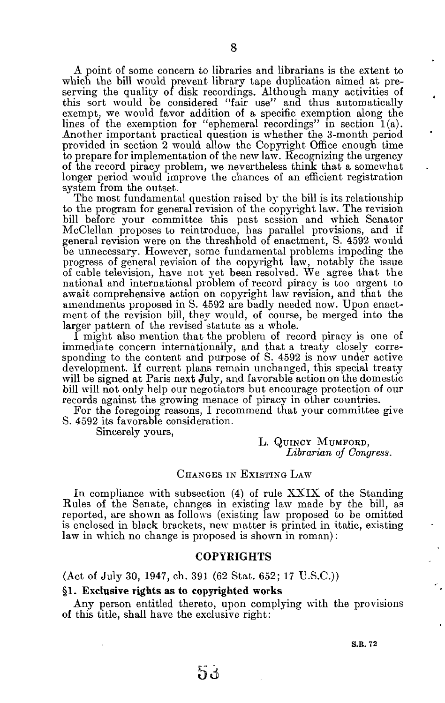**A point of some concern to libraries and librarians is the extent to**  which the bill would prevent library tape duplication aimed at pre**serving the quality of disk recordings. Although many activities of this sort would be considered "fair use" and thus automatically exempt, we would favor addition of a specific exemption along the**  lines of the exemption for "ephemeral recordings" in section 1(a). **Another important practical question is whether the 3-month period provided in section 2 would allow the Copyright Office enough time to prepare for implementation of the new law. Recognizing the urgency of the record piracy problem, we nevertheless think that a somewhat longer period would improve the chances of an efficient registration system from the outset.** 

**The most fundamental question raised by the bill is its relationship to the program for general revision of the copyright law. The revision bill before your committee this past session and which Senator McClellan proposes to reintroduce, has parallel provisions, and if general revision were on the threshhold of enactment, S. 459 2 would be unnecessary. However, some fundamental problems impeding the progress of general revision of the copyright law, notably the issue of cable television, have not yet been resolved. We agree that the national and international problem of record piracy is too urgent to await comprehensive action on copyright law revision, and that the amendments proposed in S. 459 2 are badly needed now. Upon enactment of the revision bill, tbey would, of course, be merged into the larger pattern of the revised statute as a whole.** 

**1 might also mention that the problem of record piracy is one of immediate concern internationally, and that a treaty closely corresponding to the content and purpose of S. 459 2 is now under active development. If current plans remain unchanged, this special treaty will be signed at Paris next July, and favorable action on the domestic bill will not only help our negotiators but encourage protection of our records against the growing menace of piracy in other countries.** 

**For the foregoing reasons, I recommend that your committee give S. 459 2 its favorable consideration.** 

**Sincerely yours,** 

**L. QUINCY MUMFORD,**  *Librarian of Congress.* 

#### **CHANGES IN EXISTING LAW**

**In compliance with subsection (4) of rule XXIX of the Standing Rules of the Senate, changes in existing law made by the bill, as reported, are shown as follows (existing law proposed to be omitted is enclosed in black brackets, new matter is printed in italic, existing law in which no change is proposed is shown in roman):** 

## **COPYRIGHT S**

**(Act of July 30 , 1947 , ch. 39 1 (62 Stat. 652 ; 1 7 U.S.C.))** 

#### §1. **Exclusive rights as to copyrighted works**

**Any person entitled thereto, upon complying with the provisions of this title, shall have the exclusive right:** 

**S.R. 72** 

่อง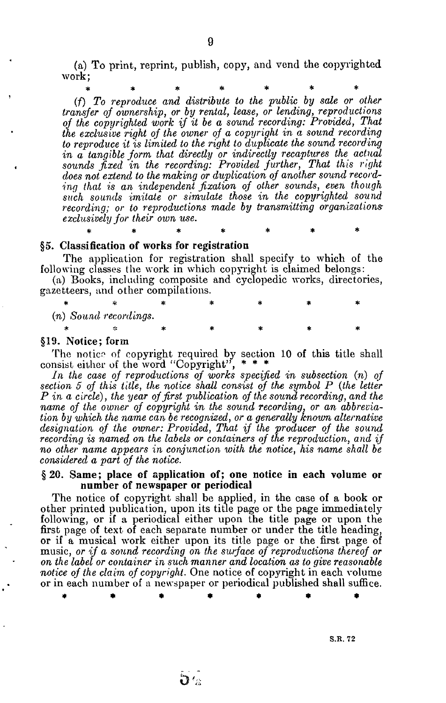(a) To print, reprint, publish, copy, and vend the copyrighted work;

**\*\*\*\*\*\* \*** 

*(f) To reproduce and distribute to the public by sale or other transfer of ownership, or by rental, lease, or lending, reproductions of the copyrighted work if it be a sound recording: Provided, That the exclusive right of the owner of a copyright in a sound recording to reproduce it is limited to the right to duplicate the sound recording in a tangible form that directly or indirectly recaptures the actual sounds fixed in the recording: Provided further, That this right does not extend to the making or duplication of another sound recording that is an independent fixation of other sounds, even though such sounds imitate or simulate those in the copyrighted sound recording; or to reproductions made by transmitting organizationsexclusively for their own use.* 

**\*\*\*\*\*\* \*** 

# §5. **Classification of works for registration**

The application for registration shall specify to which of the following classes the work in which copyright is claimed belongs:

(a) Books, including composite and cyclopedic works, directories, gazetteers, and other compilations.

*(n) Sound recordings.*  Jjc 5)C \*f» )}C 3fC SjC 3f»

#### §19. **Notice;** form

The notice of copyright required by section 10 of this title shall consist either of the word "Copyright",

*In the case of reproductions of works specified in subsection (n) of section 5 of this title, the notice shall consist of the symbol P {the letter P in a circle), the year of first publication of the sound recording, and the name of the owner of copyright in the sound recording, or an abbreviation by which the name can be recognized, or a generally known alternative designation of the owner: Provided, That if the producer of the sound recording is named on the labels or containers of the reproduction, and if no other name appears in conjunction with the notice, his name shall be considered a part of the notice.* 

# §20. **Same; place of application of; one notice in each volume or number of newspaper or periodical**

The notice of copyright shall be applied, in the case of a book or other printed publication, upon its title page or the page immediately following, or if a periodical either upon the title page or upon the first page of text of each separate number or under the title heading, or if a musical work either upon its title page or the first page of music, *or if a sound recording on the surface of reproductions thereof or on the label or container in such manner and location as to give reasonable notice of the claim of copyright.* One notice of copyright in each volume or in each number of a newspaper or periodical published shall suffice.

\* \* \* \* \* \* \*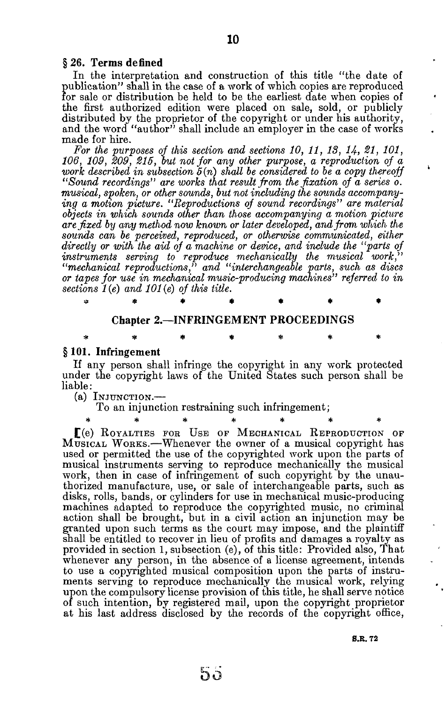In the interpretation and construction of this title "the date of publication" shall in the case of a work of which copies are reproduced for sale or distribution be held to be the earliest date when copies of the first authorized edition were placed on sale, sold, or publicly distributed by the proprietor of the copyright or under his authority, and the word "author" shall include an employer in the case of works made for hire.

*For the purposes of this section and sections 10, 11, IS, 14, 21, 101, 106, 109, 209, 215, but not for any other purpose, a reproduction of a work described in subsection*  $\delta(n)$  *shall be considered to be a copy thereoff "Sound recordings" are works that result from the fixation of a series o. musical, spoken, or other sounds, but not including the sounds accompanying a motion picture. "Reproductions of sound recordings" are material objects in which sounds other than those accompanying a motion picture arc fixed by any method now known or later developed, and from which the sounds can be perceived, reproduced, or otherwise communicated, either directly or with the aid of a machine or device, and include the "parts of instruments serving to reproduce mechanically the musical work," "mechanical reproductions," and "interchangeable parts, such as discs or tapes for use in mechanical music-producing machines" referred to in sections 1 (e) and 101 (e) of this title.* 

#### **Chapter 2.—INFRINGEMENT PROCEEDINGS**

**\*\*\*\*\*\* \*** 

**\*\*\*\*\*\* \*** 

#### § 101. **Infringement**

If any person shall infringe the copyright in any work protected under the copyright laws of the United States such person shall be liable :

(a) **INJUNCTION.—** 

To an injunction restraining such infringement;

£(e) **ROYALTIES FOE USE OF MECHANICAL REPRODUCTION OF MUSICAL WORKS**.—Whenever the owner of a musical copyright has used or permitted the use of the copyrighted work upon the parts of musical instruments serving to reproduce mechanically the musical work, then in case of infringement of such copyright by the unauthorized manufacture, use, or sale of interchangeable parts, such as disks, rolls, bands, or cylinders for use in mechanical music-producing machines adapted to reproduce the copyrighted music, no criminal action shall be brought, but in a civil action an injunction may be granted upon such terms as the court may impose, and the plaintiff shall be entitled to recover in lieu of profits and damages a royalty as provided in section 1, subsection (e), of this title: Provided also, That whenever any person, in the absence of a license agreement, intends to use a copyrighted musical composition upon the parts of instruments serving to reproduce mechanically the musical work, relying upon the compulsory license provision of this title, he shall serve notice of such intention, by registered mail, upon the copyright proprietor at his last address disclosed by the records of the copyright office,

**S.E. 7 2**